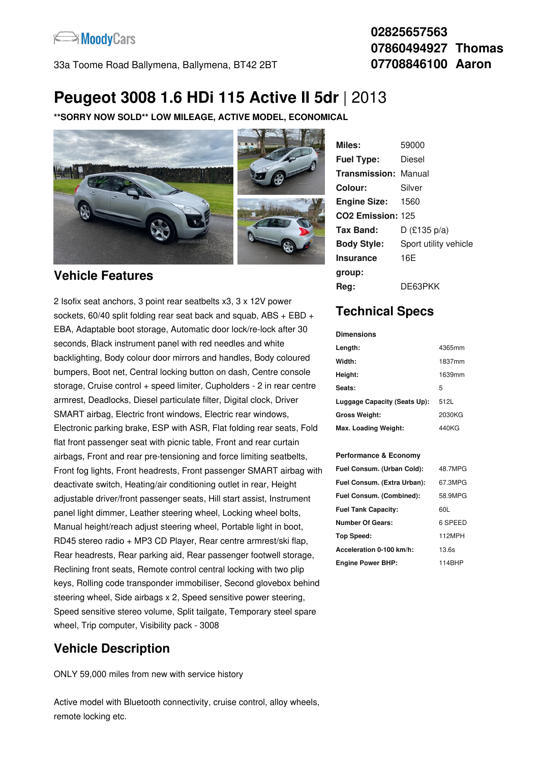

33a Toome Road Ballymena, Ballymena, BT42 2BT

#### **02825657563 07860494927 Thomas 07708846100 Aaron**

# **Peugeot 3008 1.6 HDi 115 Active II 5dr** |2013

**\*\*SORRY NOW SOLD\*\* LOW MILEAGE, ACTIVE MODEL, ECONOMICAL**



#### **Vehicle Features**

2 Isofix seat anchors, 3 point rear seatbelts x3, 3 x 12V power sockets,  $60/40$  split folding rear seat back and squab, ABS + EBD + EBA, Adaptable boot storage, Automatic door lock/re-lock after 30 seconds, Black instrument panel with red needles and white backlighting, Body colour door mirrors and handles, Body coloured bumpers, Boot net, Central locking button on dash, Centre console storage, Cruise control + speed limiter, Cupholders - 2 in rear centre armrest, Deadlocks, Diesel particulate filter, Digital clock, Driver SMART airbag, Electric front windows, Electric rear windows, Electronic parking brake, ESP with ASR, Flat folding rear seats, Fold flat front passenger seat with picnic table, Front and rear curtain airbags, Front and rear pre-tensioning and force limiting seatbelts, Front fog lights, Front headrests, Front passenger SMART airbag with deactivate switch, Heating/air conditioning outlet in rear, Height adjustable driver/front passenger seats, Hill start assist, Instrument panel light dimmer, Leather steering wheel, Locking wheel bolts, Manual height/reach adjust steering wheel, Portable light in boot, RD45 stereo radio + MP3 CD Player, Rear centre armrest/ski flap, Rear headrests, Rear parking aid, Rear passenger footwell storage, Reclining front seats, Remote control central locking with two plip keys, Rolling code transponder immobiliser, Second glovebox behind steering wheel, Side airbags x 2, Speed sensitive power steering, Speed sensitive stereo volume, Split tailgate, Temporary steel spare wheel, Trip computer, Visibility pack - 3008

## **Vehicle Description**

ONLY 59,000 miles from new with service history

Active model with Bluetooth connectivity, cruise control, alloy wheels, remote locking etc.

| Miles:                        | 59000                 |
|-------------------------------|-----------------------|
| <b>Fuel Type:</b>             | Diesel                |
| <b>Transmission: Manual</b>   |                       |
| Colour:                       | Silver                |
| <b>Engine Size:</b>           | 1560                  |
| CO <sub>2</sub> Emission: 125 |                       |
| Tax Band:                     | D (£135 p/a)          |
| <b>Body Style:</b>            | Sport utility vehicle |
| <b>Insurance</b>              | 16E                   |
| group:                        |                       |
| Rea:                          | DE63PKK               |

## **Technical Specs**

**Dimensions**

| Length:                      | 4365mm |
|------------------------------|--------|
| Width:                       | 1837mm |
| Height:                      | 1639mm |
| Seats:                       | 5      |
| Luggage Capacity (Seats Up): | 512L   |
| <b>Gross Weight:</b>         | 2030KG |
| Max. Loading Weight:         | 440KG  |

#### **Performance & Economy**

| Fuel Consum. (Urban Cold):  | 48.7MPG |
|-----------------------------|---------|
| Fuel Consum. (Extra Urban): | 67.3MPG |
| Fuel Consum. (Combined):    | 58.9MPG |
| <b>Fuel Tank Capacity:</b>  | 60L     |
| <b>Number Of Gears:</b>     | 6 SPEED |
| Top Speed:                  | 112MPH  |
| Acceleration 0-100 km/h:    | 13.6s   |
| <b>Engine Power BHP:</b>    | 114BHP  |